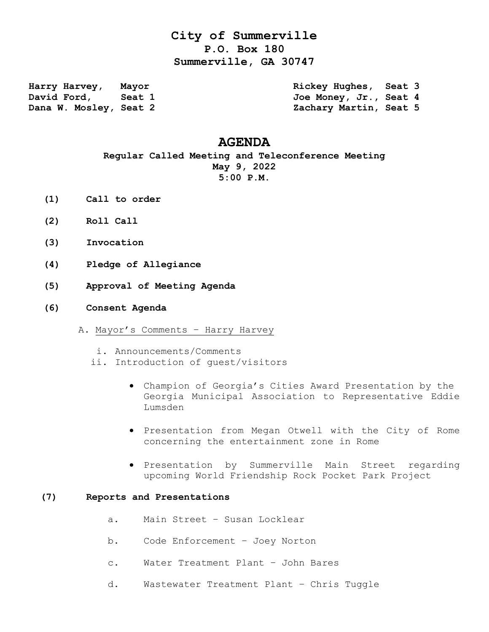# **City of Summerville P.O. Box 180 Summerville, GA 30747**

Harry Harvey, Mayor **Rickey Hughes, Seat 3**<br>
David Ford, Seat 1 3<br>
Joe Money, Jr., Seat 4 David Ford, Seat 1 300 Joe Money, Jr., Seat 4 **Dana W. Mosley, Seat 2 Zachary Martin, Seat 5** 

## **AGENDA**

## **Regular Called Meeting and Teleconference Meeting May 9, 2022 5:00 P.M.**

- **(1) Call to order**
- **(2) Roll Call**
- **(3) Invocation**
- **(4) Pledge of Allegiance**
- **(5) Approval of Meeting Agenda**
- **(6) Consent Agenda**
	- A. Mayor's Comments Harry Harvey
		- i. Announcements/Comments
		- ii. Introduction of guest/visitors
			- Champion of Georgia's Cities Award Presentation by the Georgia Municipal Association to Representative Eddie Lumsden
			- Presentation from Megan Otwell with the City of Rome concerning the entertainment zone in Rome
			- **•** Presentation by Summerville Main Street regarding upcoming World Friendship Rock Pocket Park Project

#### **(7) Reports and Presentations**

- a. Main Street Susan Locklear
- b. Code Enforcement Joey Norton
- c. Water Treatment Plant John Bares
- d. Wastewater Treatment Plant Chris Tuggle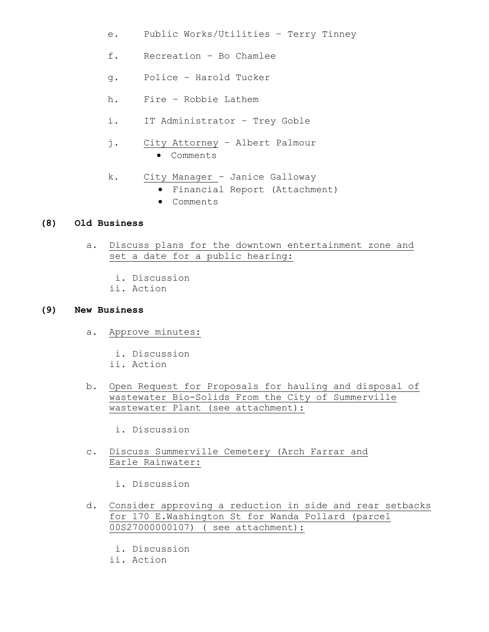- e. Public Works/Utilities Terry Tinney
- f. Recreation Bo Chamlee
- g. Police Harold Tucker
- h. Fire Robbie Lathem
- i. IT Administrator Trey Goble
- j. City Attorney Albert Palmour Comments
- k. City Manager Janice Galloway
	- Financial Report (Attachment)
	- Comments

### **(8) Old Business**

- a. Discuss plans for the downtown entertainment zone and set a date for a public hearing:
	- i. Discussion
	- ii. Action

#### **(9) New Business**

- a. Approve minutes:
	- i. Discussion
	- ii. Action
- b. Open Request for Proposals for hauling and disposal of wastewater Bio-Solids From the City of Summerville wastewater Plant (see attachment):

i. Discussion

 c. Discuss Summerville Cemetery (Arch Farrar and Earle Rainwater:

i. Discussion

- d. Consider approving a reduction in side and rear setbacks for 170 E.Washington St for Wanda Pollard (parcel 00S27000000107) ( see attachment):
	- i. Discussion
	- ii. Action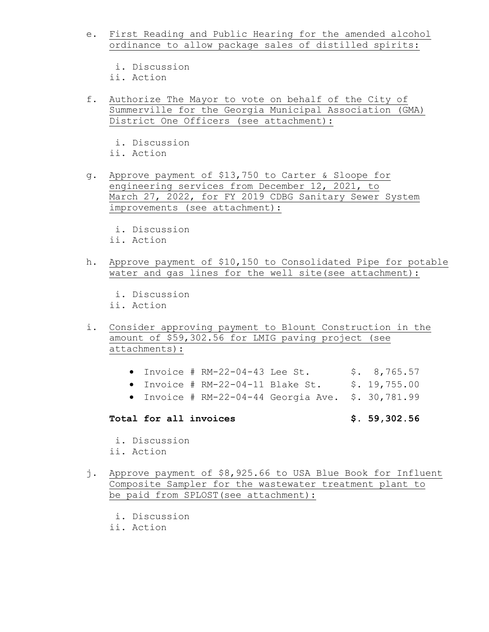- e. First Reading and Public Hearing for the amended alcohol ordinance to allow package sales of distilled spirits:
	- i. Discussion
	- ii. Action
- f. Authorize The Mayor to vote on behalf of the City of Summerville for the Georgia Municipal Association (GMA) District One Officers (see attachment):
	- i. Discussion
	- ii. Action
- g. Approve payment of \$13,750 to Carter & Sloope for engineering services from December 12, 2021, to March 27, 2022, for FY 2019 CDBG Sanitary Sewer System improvements (see attachment):
	- i. Discussion
	- ii. Action
- h. Approve payment of \$10,150 to Consolidated Pipe for potable water and gas lines for the well site(see attachment):
	- i. Discussion
	- ii. Action
- i. Consider approving payment to Blount Construction in the amount of \$59,302.56 for LMIG paving project (see attachments):
	- Invoice #  $RM-22-04-43$  Lee St.  $$3, 8, 765.57$
	- $\bullet$  Invoice # RM-22-04-11 Blake St.  $\quad$  \$. 19,755.00
	- $\bullet$  Invoice # RM-22-04-44 Georgia Ave. \$. 30,781.99

## **Total for all invoices \$. 59,302.56**

- i. Discussion ii. Action
- j. Approve payment of \$8,925.66 to USA Blue Book for Influent Composite Sampler for the wastewater treatment plant to be paid from SPLOST(see attachment):
	- i. Discussion
	- ii. Action